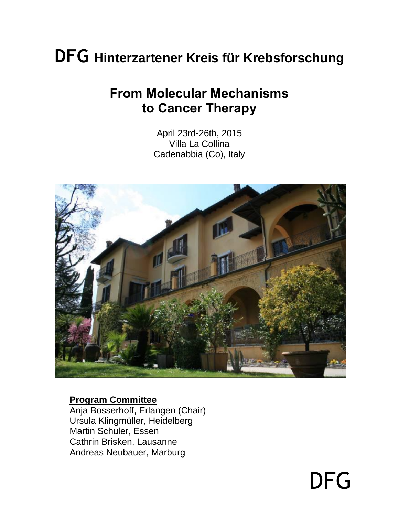# **DFG Hinterzartener Kreis für Krebsforschung**

# **From Molecular Mechanisms to Cancer Therapy**

April 23rd-26th, 2015 Villa La Collina Cadenabbia (Co), Italy



#### **Program Committee**

Anja Bosserhoff, Erlangen (Chair) Ursula Klingmüller, Heidelberg Martin Schuler, Essen Cathrin Brisken, Lausanne Andreas Neubauer, Marburg

DFG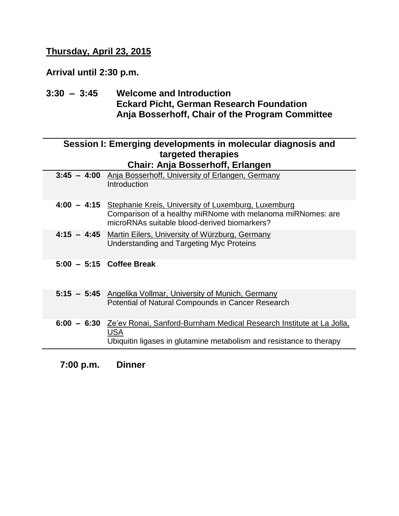#### **Thursday, April 23, 2015**

**Arrival until 2:30 p.m.**

**3:30 – 3:45 Welcome and Introduction Eckard Picht, German Research Foundation Anja Bosserhoff, Chair of the Program Committee**

| Session I: Emerging developments in molecular diagnosis and<br>targeted therapies |                                                                                                                                                                                |  |
|-----------------------------------------------------------------------------------|--------------------------------------------------------------------------------------------------------------------------------------------------------------------------------|--|
|                                                                                   | Chair: Anja Bosserhoff, Erlangen                                                                                                                                               |  |
|                                                                                   | 3:45 - 4:00 Anja Bosserhoff, University of Erlangen, Germany<br>Introduction                                                                                                   |  |
|                                                                                   | 4:00 - 4:15 Stephanie Kreis, University of Luxemburg, Luxemburg<br>Comparison of a healthy miRNome with melanoma miRNomes: are<br>microRNAs suitable blood-derived biomarkers? |  |
|                                                                                   | 4:15 - 4:45 Martin Eilers, University of Würzburg, Germany<br>Understanding and Targeting Myc Proteins                                                                         |  |
|                                                                                   | $5:00 - 5:15$ Coffee Break                                                                                                                                                     |  |
|                                                                                   | 5:15 - 5:45 Angelika Vollmar, University of Munich, Germany<br>Potential of Natural Compounds in Cancer Research                                                               |  |
|                                                                                   | 6:00 - 6:30 Ze'ev Ronai, Sanford-Burnham Medical Research Institute at La Jolla,<br><b>USA</b><br>Ubiquitin ligases in glutamine metabolism and resistance to therapy          |  |

**7:00 p.m. Dinner**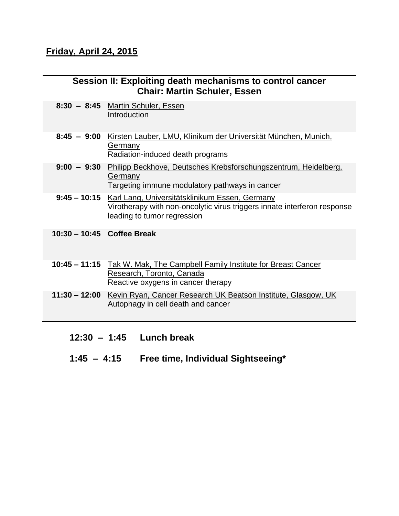### **Friday, April 24, 2015**

| Session II: Exploiting death mechanisms to control cancer<br><b>Chair: Martin Schuler, Essen</b> |                                                                                                                                                           |  |
|--------------------------------------------------------------------------------------------------|-----------------------------------------------------------------------------------------------------------------------------------------------------------|--|
|                                                                                                  | 8:30 - 8:45 Martin Schuler, Essen<br>Introduction                                                                                                         |  |
| $8:45 - 9:00$                                                                                    | Kirsten Lauber, LMU, Klinikum der Universität München, Munich,<br>Germany<br>Radiation-induced death programs                                             |  |
|                                                                                                  | 9:00 - 9:30 Philipp Beckhove, Deutsches Krebsforschungszentrum, Heidelberg,<br>Germany<br>Targeting immune modulatory pathways in cancer                  |  |
| $9:45 - 10:15$                                                                                   | Karl Lang, Universitätsklinikum Essen, Germany<br>Virotherapy with non-oncolytic virus triggers innate interferon response<br>leading to tumor regression |  |
| 10:30 - 10:45 Coffee Break                                                                       |                                                                                                                                                           |  |
|                                                                                                  | 10:45 - 11:15 Tak W. Mak, The Campbell Family Institute for Breast Cancer<br>Research, Toronto, Canada<br>Reactive oxygens in cancer therapy              |  |
|                                                                                                  | 11:30 - 12:00 Kevin Ryan, Cancer Research UK Beatson Institute, Glasgow, UK<br>Autophagy in cell death and cancer                                         |  |
|                                                                                                  |                                                                                                                                                           |  |

- **12:30 1:45 Lunch break**
- **1:45 – 4:15 Free time, Individual Sightseeing\***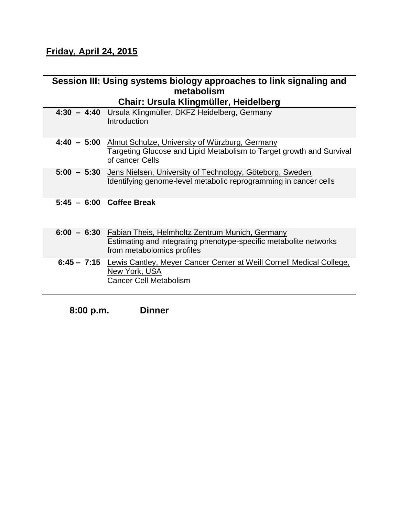## **Friday, April 24, 2015**

| Session III: Using systems biology approaches to link signaling and |                                                                                                                                                                |  |
|---------------------------------------------------------------------|----------------------------------------------------------------------------------------------------------------------------------------------------------------|--|
|                                                                     | metabolism                                                                                                                                                     |  |
|                                                                     | Chair: Ursula Klingmüller, Heidelberg                                                                                                                          |  |
|                                                                     | 4:30 - 4:40 Ursula Klingmüller, DKFZ Heidelberg, Germany<br>Introduction                                                                                       |  |
|                                                                     | 4:40 - 5:00 Almut Schulze, University of Würzburg, Germany<br>Targeting Glucose and Lipid Metabolism to Target growth and Survival<br>of cancer Cells          |  |
|                                                                     | 5:00 - 5:30 Jens Nielsen, University of Technology, Göteborg, Sweden<br>Identifying genome-level metabolic reprogramming in cancer cells                       |  |
|                                                                     | $5:45 - 6:00$ Coffee Break                                                                                                                                     |  |
|                                                                     | 6:00 - 6:30 Fabian Theis, Helmholtz Zentrum Munich, Germany<br>Estimating and integrating phenotype-specific metabolite networks<br>from metabolomics profiles |  |
|                                                                     | 6:45 - 7:15 Lewis Cantley, Meyer Cancer Center at Weill Cornell Medical College,<br>New York, USA<br><b>Cancer Cell Metabolism</b>                             |  |

**8:00 p.m. Dinner**

L,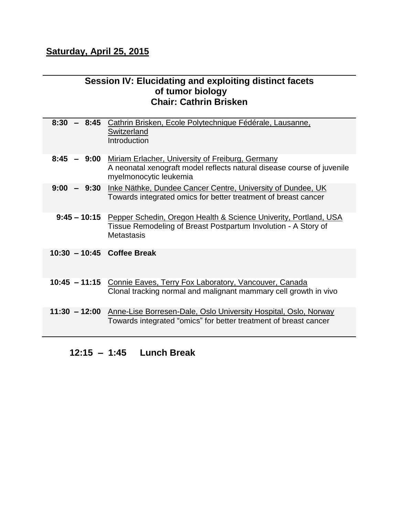#### **Saturday, April 25, 2015**

#### **Session IV: Elucidating and exploiting distinct facets of tumor biology Chair: Cathrin Brisken**

| $8:30 - 8:45$              | Cathrin Brisken, Ecole Polytechnique Fédérale, Lausanne,<br><b>Switzerland</b><br>Introduction                                                              |
|----------------------------|-------------------------------------------------------------------------------------------------------------------------------------------------------------|
| 8:45                       | - 9:00 Miriam Erlacher, University of Freiburg, Germany<br>A neonatal xenograft model reflects natural disease course of juvenile<br>myelmonocytic leukemia |
|                            | 9:00 - 9:30 Inke Näthke, Dundee Cancer Centre, University of Dundee, UK<br>Towards integrated omics for better treatment of breast cancer                   |
| $9:45 - 10:15$             | Pepper Schedin, Oregon Health & Science Univerity, Portland, USA<br>Tissue Remodeling of Breast Postpartum Involution - A Story of<br><b>Metastasis</b>     |
| 10:30 - 10:45 Coffee Break |                                                                                                                                                             |
|                            | 10:45 - 11:15 Connie Eaves, Terry Fox Laboratory, Vancouver, Canada<br>Clonal tracking normal and malignant mammary cell growth in vivo                     |
|                            | 11:30 - 12:00 Anne-Lise Borresen-Dale, Oslo University Hospital, Oslo, Norway<br>Towards integrated "omics" for better treatment of breast cancer           |

#### **12:15 – 1:45 Lunch Break**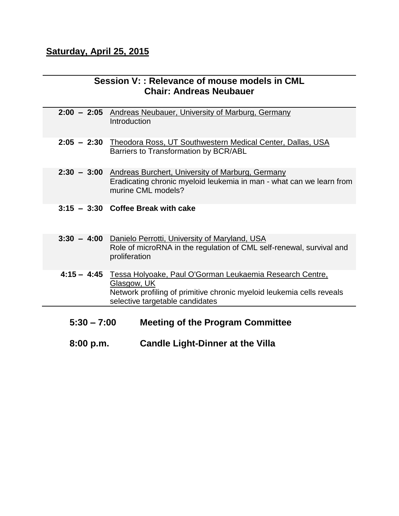# **Saturday, April 25, 2015**

| Session V:: Relevance of mouse models in CML<br><b>Chair: Andreas Neubauer</b> |                                                                                                                                                                                                 |  |
|--------------------------------------------------------------------------------|-------------------------------------------------------------------------------------------------------------------------------------------------------------------------------------------------|--|
|                                                                                | 2:00 - 2:05 Andreas Neubauer, University of Marburg, Germany<br>Introduction                                                                                                                    |  |
|                                                                                | 2:05 - 2:30 Theodora Ross, UT Southwestern Medical Center, Dallas, USA<br>Barriers to Transformation by BCR/ABL                                                                                 |  |
|                                                                                | 2:30 - 3:00 Andreas Burchert, University of Marburg, Germany<br>Eradicating chronic myeloid leukemia in man - what can we learn from<br>murine CML models?                                      |  |
|                                                                                | $3:15 - 3:30$ Coffee Break with cake                                                                                                                                                            |  |
|                                                                                | 3:30 - 4:00 Danielo Perrotti, University of Maryland, USA<br>Role of microRNA in the regulation of CML self-renewal, survival and<br>proliferation                                              |  |
|                                                                                | 4:15 - 4:45 Tessa Holyoake, Paul O'Gorman Leukaemia Research Centre,<br>Glasgow, UK<br>Network profiling of primitive chronic myeloid leukemia cells reveals<br>selective targetable candidates |  |
| $5:30 - 7:00$<br><b>Meeting of the Program Committee</b>                       |                                                                                                                                                                                                 |  |
| 8:00 p.m.                                                                      | <b>Candle Light-Dinner at the Villa</b>                                                                                                                                                         |  |